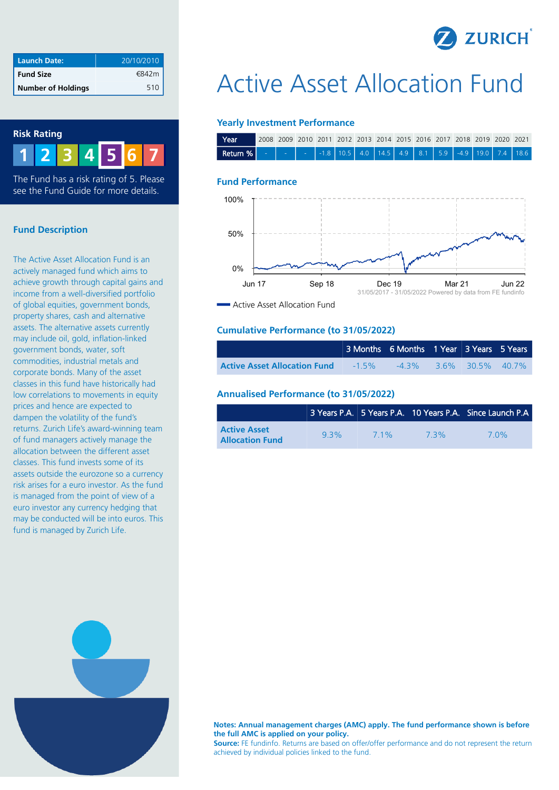

| <b>Launch Date:</b>       | 20/10/2010 |
|---------------------------|------------|
| <b>Fund Size</b>          | €842m      |
| <b>Number of Holdings</b> | 510        |

## **Risk Rating**

**1 2 3 4 6 7 5**

The Fund has a risk rating of 5. Please see the Fund Guide for more details.

## **Fund Description**

The Active Asset Allocation Fund is an actively managed fund which aims to achieve growth through capital gains and income from a well-diversified portfolio of global equities, government bonds, property shares, cash and alternative assets. The alternative assets currently may include oil, gold, inflation-linked government bonds, water, soft commodities, industrial metals and corporate bonds. Many of the asset classes in this fund have historically had low correlations to movements in equity prices and hence are expected to dampen the volatility of the fund's returns. Zurich Life's award-winning team of fund managers actively manage the allocation between the different asset classes. This fund invests some of its assets outside the eurozone so a currency risk arises for a euro investor. As the fund is managed from the point of view of a euro investor any currency hedging that may be conducted will be into euros. This fund is managed by Zurich Life.

# Active Asset Allocation Fund

#### **Yearly Investment Performance**

| Year                                                                                                |  |  |  |  |  | 1 2008 2009 2010 2011 2012 2013 2014 2015 2016 2017 2018 2019 2020 2021 |  |
|-----------------------------------------------------------------------------------------------------|--|--|--|--|--|-------------------------------------------------------------------------|--|
| <b>Return %</b>   -   -   -   -1.8   10.5   4.0   14.5   4.9   8.1   5.9   -4.9   19.0   7.4   18.6 |  |  |  |  |  |                                                                         |  |

#### **Fund Performance**



**Active Asset Allocation Fund** 

#### **Cumulative Performance (to 31/05/2022)**

|                                     | 3 Months 6 Months 1 Year 3 Years 5 Years    |  |  |
|-------------------------------------|---------------------------------------------|--|--|
| <b>Active Asset Allocation Fund</b> | $-1.5\%$ $-4.3\%$ $3.6\%$ $30.5\%$ $40.7\%$ |  |  |

#### **Annualised Performance (to 31/05/2022)**

|                                               |         |        |     | 3 Years P.A. 5 Years P.A. 10 Years P.A. Since Launch P.A |
|-----------------------------------------------|---------|--------|-----|----------------------------------------------------------|
| <b>Active Asset</b><br><b>Allocation Fund</b> | $9.3\%$ | $71\%$ | 73% | 70%                                                      |

**Notes: Annual management charges (AMC) apply. The fund performance shown is before the full AMC is applied on your policy. Source:** FE fundinfo. Returns are based on offer/offer performance and do not represent the return achieved by individual policies linked to the fund.